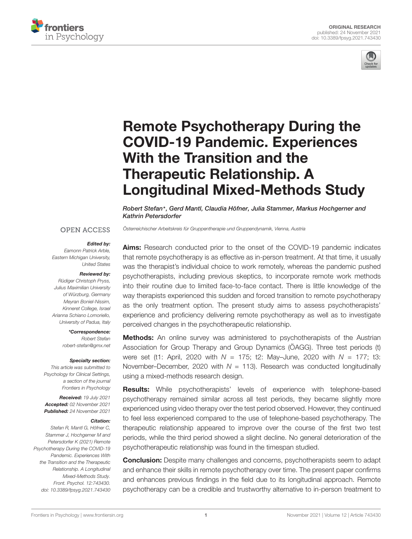



# Remote Psychotherapy During the COVID-19 Pandemic. Experiences With the Transition and the Therapeutic Relationship. A [Longitudinal Mixed-Methods Study](https://www.frontiersin.org/articles/10.3389/fpsyg.2021.743430/full)

Robert Stefan\*, Gerd Mantl, Claudia Höfner, Julia Stammer, Markus Hochgerner and Kathrin Petersdorfer

Österreichischer Arbeitskreis für Gruppentherapie und Gruppendynamik, Vienna, Austria

#### **OPEN ACCESS**

#### Edited by:

Eamonn Patrick Arble, Eastern Michigan University, United States

#### Reviewed by:

Rüdiger Christoph Pryss, Julius Maximilian University of Würzburg, Germany Meyran Boniel-Nissim, Kinneret College, Israel Arianna Schiano Lomoriello, University of Padua, Italy

\*Correspondence:

Robert Stefan robert-stefan@gmx.net

#### Specialty section:

This article was submitted to Psychology for Clinical Settings, a section of the journal Frontiers in Psychology

Received: 19 July 2021 Accepted: 02 November 2021 Published: 24 November 2021

#### Citation:

Stefan R, Mantl G, Höfner C, Stammer J, Hochgerner M and Petersdorfer K (2021) Remote Psychotherapy During the COVID-19 Pandemic. Experiences With the Transition and the Therapeutic Relationship. A Longitudinal Mixed-Methods Study. Front. Psychol. 12:743430. doi: [10.3389/fpsyg.2021.743430](https://doi.org/10.3389/fpsyg.2021.743430)

Aims: Research conducted prior to the onset of the COVID-19 pandemic indicates that remote psychotherapy is as effective as in-person treatment. At that time, it usually was the therapist's individual choice to work remotely, whereas the pandemic pushed psychotherapists, including previous skeptics, to incorporate remote work methods into their routine due to limited face-to-face contact. There is little knowledge of the way therapists experienced this sudden and forced transition to remote psychotherapy as the only treatment option. The present study aims to assess psychotherapists' experience and proficiency delivering remote psychotherapy as well as to investigate perceived changes in the psychotherapeutic relationship.

**Methods:** An online survey was administered to psychotherapists of the Austrian Association for Group Therapy and Group Dynamics (ÖAGG). Three test periods (t) were set (t1: April, 2020 with  $N = 175$ ; t2: May-June, 2020 with  $N = 177$ ; t3: November–December, 2020 with  $N = 113$ ). Research was conducted longitudinally using a mixed-methods research design.

**Results:** While psychotherapists' levels of experience with telephone-based psychotherapy remained similar across all test periods, they became slightly more experienced using video therapy over the test period observed. However, they continued to feel less experienced compared to the use of telephone-based psychotherapy. The therapeutic relationship appeared to improve over the course of the first two test periods, while the third period showed a slight decline. No general deterioration of the psychotherapeutic relationship was found in the timespan studied.

**Conclusion:** Despite many challenges and concerns, psychotherapists seem to adapt and enhance their skills in remote psychotherapy over time. The present paper confirms and enhances previous findings in the field due to its longitudinal approach. Remote psychotherapy can be a credible and trustworthy alternative to in-person treatment to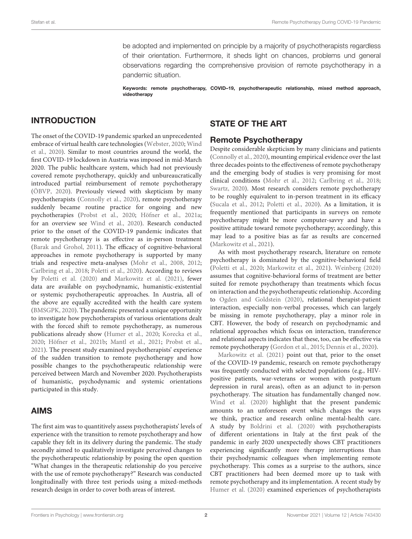be adopted and implemented on principle by a majority of psychotherapists regardless of their orientation. Furthermore, it sheds light on chances, problems und general observations regarding the comprehensive provision of remote psychotherapy in a pandemic situation.

Keywords: remote psychotherapy, COVID–19, psychotherapeutic relationship, mixed method approach, videotherapy

# INTRODUCTION

The onset of the COVID-19 pandemic sparked an unprecedented embrace of virtual health care technologies [\(Webster,](#page-9-0) [2020;](#page-9-0) [Wind](#page-9-1) [et al.,](#page-9-1) [2020\)](#page-9-1). Similar to most countries around the world, the first COVID-19 lockdown in Austria was imposed in mid-March 2020. The public healthcare system, which had not previously covered remote psychotherapy, quickly and unbureaucratically introduced partial reimbursement of remote psychotherapy [\(ÖBVP,](#page-9-2) [2020\)](#page-9-2). Previously viewed with skepticism by many psychotherapists [\(Connolly et al.,](#page-8-0) [2020\)](#page-8-0), remote psychotherapy suddenly became routine practice for ongoing and new psychotherapies [\(Probst et al.,](#page-9-3) [2020;](#page-9-3) [Höfner et al.,](#page-8-1) [2021a;](#page-8-1) for an overview see [Wind et al.,](#page-9-1) [2020\)](#page-9-1). Research conducted prior to the onset of the COVID-19 pandemic indicates that remote psychotherapy is as effective as in-person treatment [\(Barak and Grohol,](#page-8-2) [2011\)](#page-8-2). The efficacy of cognitive-behavioral approaches in remote psychotherapy is supported by many trials and respective meta-analyses [\(Mohr et al.,](#page-9-4) [2008,](#page-9-4) [2012;](#page-9-5) [Carlbring et al.,](#page-8-3) [2018;](#page-8-3) [Poletti et al.,](#page-9-6) [2020\)](#page-9-6). According to reviews by [Poletti et al.](#page-9-6) [\(2020\)](#page-9-6) and [Markowitz et al.](#page-8-4) [\(2021\)](#page-8-4), fewer data are available on psychodynamic, humanistic-existential or systemic psychotherapeutic approaches. In Austria, all of the above are equally accredited with the health care system [\(BMSGPK,](#page-8-5) [2020\)](#page-8-5). The pandemic presented a unique opportunity to investigate how psychotherapists of various orientations dealt with the forced shift to remote psychotherapy, as numerous publications already show [\(Humer et al.,](#page-8-6) [2020;](#page-8-6) [Korecka et al.,](#page-8-7) [2020;](#page-8-7) [Höfner et al.,](#page-8-8) [2021b;](#page-8-8) [Mantl et al.,](#page-8-9) [2021;](#page-8-9) [Probst et al.,](#page-9-7) [2021\)](#page-9-7). The present study examined psychotherapists' experience of the sudden transition to remote psychotherapy and how possible changes to the psychotherapeutic relationship were perceived between March and November 2020. Psychotherapists of humanistic, psychodynamic and systemic orientations participated in this study.

### AIMS

The first aim was to quantitively assess psychotherapists' levels of experience with the transition to remote psychotherapy and how capable they felt in its delivery during the pandemic. The study secondly aimed to qualitatively investigate perceived changes to the psychotherapeutic relationship by posing the open question "What changes in the therapeutic relationship do you perceive with the use of remote psychotherapy?" Research was conducted longitudinally with three test periods using a mixed-methods research design in order to cover both areas of interest.

# STATE OF THE ART

# Remote Psychotherapy

Despite considerable skepticism by many clinicians and patients [\(Connolly et al.,](#page-8-0) [2020\)](#page-8-0), mounting empirical evidence over the last three decades points to the effectiveness of remote psychotherapy and the emerging body of studies is very promising for most clinical conditions [\(Mohr et al.,](#page-9-5) [2012;](#page-9-5) [Carlbring et al.,](#page-8-3) [2018;](#page-8-3) [Swartz,](#page-9-8) [2020\)](#page-9-8). Most research considers remote psychotherapy to be roughly equivalent to in-person treatment in its efficacy [\(Sucala et al.,](#page-9-9) [2012;](#page-9-9) [Poletti et al.,](#page-9-6) [2020\)](#page-9-6). As a limitation, it is frequently mentioned that participants in surveys on remote psychotherapy might be more computer-savvy and have a positive attitude toward remote psychotherapy; accordingly, this may lead to a positive bias as far as results are concerned [\(Markowitz et al.,](#page-8-4) [2021\)](#page-8-4).

As with most psychotherapy research, literature on remote psychotherapy is dominated by the cognitive-behavioral field [\(Poletti et al.,](#page-9-6) [2020;](#page-9-6) [Markowitz et al.,](#page-8-4) [2021\)](#page-8-4). [Weinberg](#page-9-10) [\(2020\)](#page-9-10) assumes that cognitive-behavioral forms of treatment are better suited for remote psychotherapy than treatments which focus on interaction and the psychotherapeutic relationship. According to [Ogden and Goldstein](#page-9-11) [\(2020\)](#page-9-11), relational therapist-patient interaction, especially non-verbal processes, which can largely be missing in remote psychotherapy, play a minor role in CBT. However, the body of research on psychodynamic and relational approaches which focus on interaction, transference and relational aspects indicates that these, too, can be effective via remote psychotherapy [\(Gordon et al.,](#page-8-10) [2015;](#page-8-10) [Dennis et al.,](#page-8-11) [2020\)](#page-8-11).

[Markowitz et al.](#page-8-4) [\(2021\)](#page-8-4) point out that, prior to the onset of the COVID-19 pandemic, research on remote psychotherapy was frequently conducted with selected populations (e.g., HIVpositive patients, war-veterans or women with postpartum depression in rural areas), often as an adjunct to in-person psychotherapy. The situation has fundamentally changed now. [Wind et al.](#page-9-1) [\(2020\)](#page-9-1) highlight that the present pandemic amounts to an unforeseen event which changes the ways we think, practice and research online mental-health care. A study by [Boldrini et al.](#page-8-12) [\(2020\)](#page-8-12) with psychotherapists of different orientations in Italy at the first peak of the pandemic in early 2020 unexpectedly shows CBT practitioners experiencing significantly more therapy interruptions than their psychodynamic colleagues when implementing remote psychotherapy. This comes as a surprise to the authors, since CBT practitioners had been deemed more up to task with remote psychotherapy and its implementation. A recent study by [Humer et al.](#page-8-6) [\(2020\)](#page-8-6) examined experiences of psychotherapists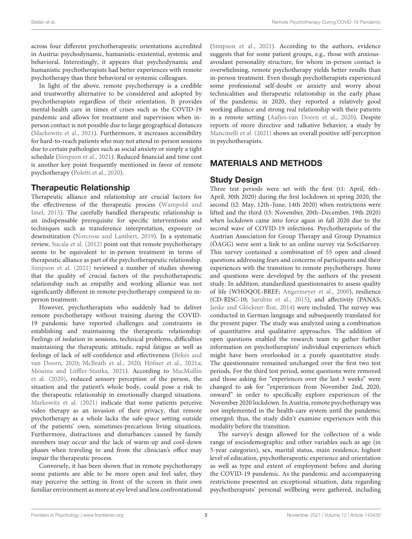across four different psychotherapeutic orientations accredited in Austria: psychodynamic, humanistic-existential, systemic and behavioral. Interestingly, it appears that psychodynamic and humanistic psychotherapists had better experiences with remote psychotherapy than their behavioral or systemic colleagues.

In light of the above, remote psychotherapy is a credible and trustworthy alternative to be considered and adopted by psychotherapists regardless of their orientation. It provides mental-health care in times of crises such as the COVID-19 pandemic and allows for treatment and supervision when inperson contact is not possible due to large geographical distances [\(Markowitz et al.,](#page-8-4) [2021\)](#page-8-4). Furthermore, it increases accessibility for hard-to-reach patients who may not attend in-person sessions due to certain pathologies such as social anxiety or simply a tight schedule [\(Simpson et al.,](#page-9-12) [2021\)](#page-9-12). Reduced financial and time cost is another key point frequently mentioned in favor of remote psychotherapy [\(Poletti et al.,](#page-9-6) [2020\)](#page-9-6).

# Therapeutic Relationship

Therapeutic alliance and relationship are crucial factors for the effectiveness of the therapeutic process [\(Wampold and](#page-9-13) [Imel,](#page-9-13) [2015\)](#page-9-13). The carefully handled therapeutic relationship is an indispensable prerequisite for specific interventions and techniques such as transference interpretation, exposure or desensitization [\(Norcross and Lambert,](#page-9-14) [2019\)](#page-9-14). In a systematic review, [Sucala et al.](#page-9-9) [\(2012\)](#page-9-9) point out that remote psychotherapy seems to be equivalent to in-person treatment in terms of therapeutic alliance as part of the psychotherapeutic relationship. [Simpson et al.](#page-9-12) [\(2021\)](#page-9-12) reviewed a number of studies showing that the quality of crucial factors of the psychotherapeutic relationship such as empathy and working alliance was not significantly different in remote psychotherapy compared to inperson treatment.

However, psychotherapists who suddenly had to deliver remote psychotherapy without training during the COVID-19 pandemic have reported challenges and constraints in establishing and maintaining the therapeutic relationship: Feelings of isolation in sessions, technical problems, difficulties maintaining the therapeutic attitude, rapid fatigue as well as feelings of lack of self-confidence and effectiveness [\(Békés and](#page-8-13) [van Doorn,](#page-8-13) [2020;](#page-8-13) [McBeath et al.,](#page-9-15) [2020;](#page-9-15) [Höfner et al.,](#page-8-1) [2021a;](#page-8-1) [Messina and Löffler-Stastka,](#page-9-16) [2021\)](#page-9-16). According to [MacMullin](#page-8-14) [et al.](#page-8-14) [\(2020\)](#page-8-14), reduced sensory perception of the person, the situation and the patient's whole body, could pose a risk to the therapeutic relationship in emotionally charged situations. [Markowitz et al.](#page-8-4) [\(2021\)](#page-8-4) indicate that some patients perceive video therapy as an invasion of their privacy, that remote psychotherapy as a whole lacks the safe-space setting outside of the patients' own, sometimes-precarious living situations. Furthermore, distractions and disturbances caused by family members may occur and the lack of warm-up and cool-down phases when traveling to and from the clinician's office may impair the therapeutic process.

Conversely, it has been shown that in remote psychotherapy some patients are able to be more open and feel safer, they may perceive the setting in front of the screen in their own familiar environment as more at eye level and less confrontational

[\(Simpson et al.,](#page-9-12) [2021\)](#page-9-12). According to the authors, evidence suggests that for some patient groups, e.g., those with anxiousavoidant personality structure, for whom in-person contact is overwhelming, remote psychotherapy yields better results than in-person treatment. Even though psychotherapists experienced some professional self-doubt or anxiety and worry about technicalities and therapeutic relationship in the early phase of the pandemic in 2020, they reported a relatively good working alliance and strong real relationship with their patients in a remote setting [\(Aafjes-van Doorn et al.,](#page-8-15) [2020\)](#page-8-15). Despite reports of more directive and talkative behavior, a study by [Mancinelli et al.](#page-8-16) [\(2021\)](#page-8-16) shows an overall positive self-perception in psychotherapists.

# MATERIALS AND METHODS

# Study Design

Three test periods were set with the first (t1: April, 6th– April, 30th 2020) during the first lockdown in spring 2020, the second (t2: May, 12th–June, 14th 2020) when restrictions were lifted and the third (t3: November, 20th–December, 19th 2020) when lockdown came into force again in fall 2020 due to the second wave of COVID-19 infections. Psychotherapists of the Austrian Association for Group Therapy and Group Dynamics (ÖAGG) were sent a link to an online survey via SoSciSurvey. This survey contained a combination of 55 open and closed questions addressing fears and concerns of participants and their experiences with the transition to remote psychotherapy. Items and questions were developed by the authors of the present study. In addition, standardized questionnaires to assess quality of life (WHOQOL-BREF; [Angermeyer et al.,](#page-8-17) [2000\)](#page-8-17), resilience (CD-RISC-10; [Sarubin et al.,](#page-9-17) [2015\)](#page-9-17), and affectivity (PANAS; [Janke and Glöckner-Rist,](#page-8-18) [2014\)](#page-8-18) were included. The survey was conducted in German language and subsequently translated for the present paper. The study was analyzed using a combination of quantitative and qualitative approaches. The addition of open questions enabled the research team to gather further information on psychotherapists' individual experiences which might have been overlooked in a purely quantitative study. The questionnaire remained unchanged over the first two test periods. For the third test period, some questions were removed and those asking for "experiences over the last 3 weeks" were changed to ask for "experiences from November 2nd, 2020, onward" in order to specifically explore experiences of the November 2020 lockdown. In Austria, remote psychotherapy was not implemented in the health-care system until the pandemic emerged; thus, the study didn't examine experiences with this modality before the transition.

The survey's design allowed for the collection of a wide range of sociodemographic and other variables such as age (in 5-year categories), sex, marital status, main residence, highest level of education, psychotherapeutic experience and orientation as well as type and extent of employment before and during the COVID-19 pandemic. As the pandemic and accompanying restrictions presented an exceptional situation, data regarding psychotherapists' personal wellbeing were gathered, including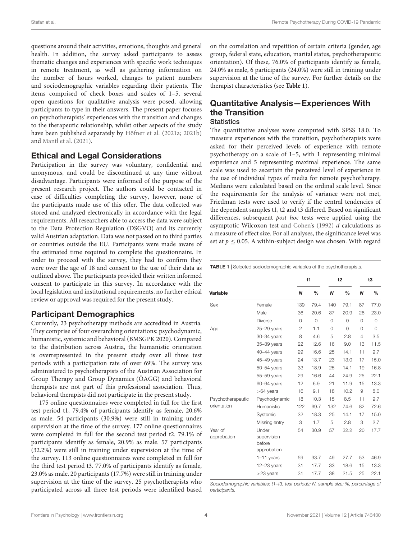questions around their activities, emotions, thoughts and general health. In addition, the survey asked participants to assess thematic changes and experiences with specific work techniques in remote treatment, as well as gathering information on the number of hours worked, changes to patient numbers and sociodemographic variables regarding their patients. The items comprised of check boxes and scales of 1–5, several open questions for qualitative analysis were posed, allowing participants to type in their answers. The present paper focuses on psychotherapists' experiences with the transition and changes to the therapeutic relationship, whilst other aspects of the study have been published separately by [Höfner et al.](#page-8-1) [\(2021a;](#page-8-1) [2021b\)](#page-8-8) and [Mantl et al.](#page-8-9) [\(2021\)](#page-8-9).

#### Ethical and Legal Considerations

Participation in the survey was voluntary, confidential and anonymous, and could be discontinued at any time without disadvantage. Participants were informed of the purpose of the present research project. The authors could be contacted in case of difficulties completing the survey, however, none of the participants made use of this offer. The data collected was stored and analyzed electronically in accordance with the legal requirements. All researchers able to access the data were subject to the Data Protection Regulation (DSGVO) and its currently valid Austrian adaptation. Data was not passed on to third parties or countries outside the EU. Participants were made aware of the estimated time required to complete the questionnaire. In order to proceed with the survey, they had to confirm they were over the age of 18 and consent to the use of their data as outlined above. The participants provided their written informed consent to participate in this survey. In accordance with the local legislation and institutional requirements, no further ethical review or approval was required for the present study.

#### Participant Demographics

Currently, 23 psychotherapy methods are accredited in Austria. They comprise of four overarching orientations: psychodynamic, humanistic, systemic and behavioral (BMSGPK 2020). Compared to the distribution across Austria, the humanistic orientation is overrepresented in the present study over all three test periods with a participation rate of over 69%. The survey was administered to psychotherapists of the Austrian Association for Group Therapy and Group Dynamics (ÖAGG) and behavioral therapists are not part of this professional association. Thus, behavioral therapists did not participate in the present study.

175 online questionnaires were completed in full for the first test period t1, 79.4% of participants identify as female, 20.6% as male. 54 participants (30.9%) were still in training under supervision at the time of the survey. 177 online questionnaires were completed in full for the second test period t2. 79.1% of participants identify as female, 20.9% as male. 57 participants (32.2%) were still in training under supervision at the time of the survey. 113 online questionnaires were completed in full for the third test period t3. 77.0% of participants identify as female, 23.0% as male. 20 participants (17.7%) were still in training under supervision at the time of the survey. 25 psychotherapists who participated across all three test periods were identified based

on the correlation and repetition of certain criteria (gender, age group, federal state, education, marital status, psychotherapeutic orientation). Of these, 76.0% of participants identify as female, 24.0% as male, 6 participants (24.0%) were still in training under supervision at the time of the survey. For further details on the therapist characteristics (see **[Table 1](#page-3-0)**).

#### Quantitative Analysis—Experiences With the Transition **Statistics**

The quantitative analyses were computed with SPSS 18.0. To measure experiences with the transition, psychotherapists were asked for their perceived levels of experience with remote psychotherapy on a scale of 1–5, with 1 representing minimal experience and 5 representing maximal experience. The same scale was used to ascertain the perceived level of experience in the use of individual types of media for remote psychotherapy. Medians were calculated based on the ordinal scale level. Since the requirements for the analysis of variance were not met, Friedman tests were used to verify if the central tendencies of the dependent samples t1, t2 and t3 differed. Based on significant differences, subsequent post hoc tests were applied using the asymptotic Wilcoxon test and [Cohen's](#page-8-19) [\(1992\)](#page-8-19) d calculations as a measure of effect size. For all analyses, the significance level was set at  $p \le 0.05$ . A within-subject design was chosen. With regard

<span id="page-3-0"></span>TABLE 1 | Selected sociodemographic variables of the psychotherapists.

|                        |                                               |                | t1            |          | t2            |                | t3            |  |
|------------------------|-----------------------------------------------|----------------|---------------|----------|---------------|----------------|---------------|--|
| Variable               |                                               | N              | $\frac{0}{0}$ | N        | $\frac{0}{0}$ | N              | $\frac{0}{0}$ |  |
| Sex                    | Female                                        | 139            | 79.4          | 140      | 79.1          | 87             | 77.0          |  |
|                        | Male                                          | 36             | 20.6          | 37       | 20.9          | 26             | 23.0          |  |
|                        | <b>Diverse</b>                                | $\mathbf 0$    | $\mathbf 0$   | $\Omega$ | 0             | 0              | 0             |  |
| Age                    | 25-29 years                                   | $\overline{2}$ | 1.1           | $\Omega$ | $\Omega$      | 0              | $\Omega$      |  |
|                        | 30-34 years                                   | 8              | 4.6           | 5        | 2.8           | $\overline{4}$ | 3.5           |  |
|                        | 35-39 years                                   | 22             | 12.6          | 16       | 9.0           | 13             | 11.5          |  |
|                        | 40-44 years                                   | 29             | 16.6          | 25       | 14.1          | 11             | 9.7           |  |
|                        | 45-49 years                                   | 24             | 13.7          | 23       | 13.0          | 17             | 15.0          |  |
|                        | 50-54 years                                   | 33             | 18.9          | 25       | 14.1          | 19             | 16.8          |  |
|                        | 55-59 years                                   | 29             | 16.6          | 44       | 24.9          | 25             | 22.1          |  |
|                        | 60-64 years                                   | 12             | 6.9           | 21       | 11.9          | 15             | 13.3          |  |
|                        | $>64$ years                                   | 16             | 9.1           | 18       | 10.2          | 9              | 8.0           |  |
| Psychotherapeutic      | Psychodynamic                                 | 18             | 10.3          | 15       | 8.5           | 11             | 9.7           |  |
| orientation            | Humanistic                                    | 122            | 69.7          | 132      | 74.6          | 82             | 72.6          |  |
|                        | Systemic                                      | 32             | 18.3          | 25       | 14.1          | 17             | 15.0          |  |
|                        | Missing entry                                 | 3              | 1.7           | 5        | 2.8           | 3              | 2.7           |  |
| Year of<br>approbation | Under<br>supervision<br>before<br>approbation | 54             | 30.9          | 57       | 32.2          | 20             | 17.7          |  |
|                        | $1-11$ years                                  | 59             | 33.7          | 49       | 27.7          | 53             | 46.9          |  |
|                        | $12-23$ years<br>$>$ 23 years                 | 31<br>31       | 17.7<br>17.7  | 33<br>38 | 18.6<br>21.5  | 15<br>25       | 13.3<br>22.1  |  |
|                        |                                               |                |               |          |               |                |               |  |

Sociodemographic variables; t1–t3, test periods; N, sample size; %, percentage of participants.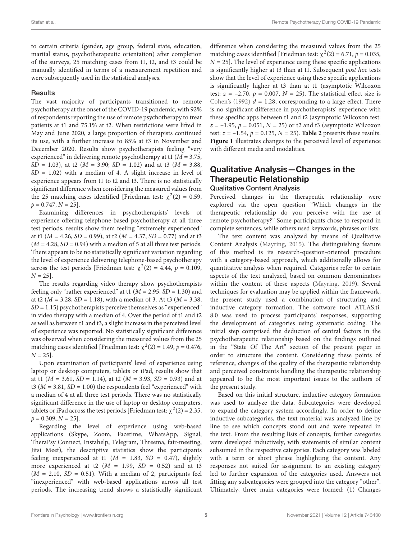to certain criteria (gender, age group, federal state, education, marital status, psychotherapeutic orientation) after completion of the surveys, 25 matching cases from t1, t2, and t3 could be manually identified in terms of a measurement repetition and were subsequently used in the statistical analyses.

#### **Results**

The vast majority of participants transitioned to remote psychotherapy at the onset of the COVID-19 pandemic, with 92% of respondents reporting the use of remote psychotherapy to treat patients at t1 and 75.1% at t2. When restrictions were lifted in May and June 2020, a large proportion of therapists continued its use, with a further increase to 85% at t3 in November and December 2020. Results show psychotherapists feeling "very experienced" in delivering remote psychotherapy at t1 ( $M = 3.75$ ,  $SD = 1.03$ ), at t2 ( $M = 3.90$ ;  $SD = 1.02$ ) and at t3 ( $M = 3.88$ ,  $SD = 1.02$ ) with a median of 4. A slight increase in level of experience appears from t1 to t2 and t3. There is no statistically significant difference when considering the measured values from the 25 matching cases identified [Friedman test:  $\chi^2(2) = 0.59$ ,  $p = 0.747, N = 25$ .

Examining differences in psychotherapists' levels of experience offering telephone-based psychotherapy at all three test periods, results show them feeling "extremely experienced" at t1 ( $M = 4.26$ ,  $SD = 0.99$ ), at t2 ( $M = 4.37$ ,  $SD = 0.77$ ) and at t3  $(M = 4.28, SD = 0.94)$  with a median of 5 at all three test periods. There appears to be no statistically significant variation regarding the level of experience delivering telephone-based psychotherapy across the test periods [Friedman test:  $\chi^2(2) = 4.44$ ,  $p = 0.109$ ,  $N = 25$ .

The results regarding video therapy show psychotherapists feeling only "rather experienced" at t1 ( $M = 2.95$ ,  $SD = 1.30$ ) and at t2 ( $M = 3.28$ ,  $SD = 1.18$ ), with a median of 3. At t3 ( $M = 3.38$ ,  $SD = 1.15$ ) psychotherapists perceive themselves as "experienced" in video therapy with a median of 4. Over the period of t1 and t2 as well as between t1 and t3, a slight increase in the perceived level of experience was reported. No statistically significant difference was observed when considering the measured values from the 25 matching cases identified [Friedman test:  $\chi^2(2) = 1.49$ ,  $p = 0.476$ ,  $N = 25$ .

Upon examination of participants' level of experience using laptop or desktop computers, tablets or iPad, results show that at t1 ( $M = 3.61$ ,  $SD = 1.14$ ), at t2 ( $M = 3.93$ ,  $SD = 0.93$ ) and at t3 ( $M = 3.81$ ,  $SD = 1.00$ ) the respondents feel "experienced" with a median of 4 at all three test periods. There was no statistically significant difference in the use of laptop or desktop computers, tablets or iPad across the test periods [Friedman test:  $\chi^2(2) = 2.35$ ,  $p = 0.309, N = 25$ .

Regarding the level of experience using web-based applications (Skype, Zoom, Facetime, WhatsApp, Signal, TheraPsy Connect, Instahelp, Telegram, Threema, fair-meeting, Jitsi Meet), the descriptive statistics show the participants feeling inexperienced at t1 ( $M = 1.83$ ,  $SD = 0.47$ ), slightly more experienced at t2 ( $M = 1.99$ ,  $SD = 0.52$ ) and at t3  $(M = 2.10, SD = 0.51)$ . With a median of 2, participants feel "inexperienced" with web-based applications across all test periods. The increasing trend shows a statistically significant difference when considering the measured values from the 25 matching cases identified [Friedman test:  $\chi^2(2) = 6.71$ ,  $p = 0.035$ ,  $N = 25$ ]. The level of experience using these specific applications is significantly higher at t3 than at t1. Subsequent post hoc tests show that the level of experience using these specific applications is significantly higher at t3 than at t1 (asymptotic Wilcoxon test:  $z = -2.70$ ,  $p = 0.007$ ,  $N = 25$ ). The statistical effect size is [Cohen'](#page-8-19)s [\(1992\)](#page-8-19)  $d = 1.28$ , corresponding to a large effect. There is no significant difference in psychotherapists' experience with these specific apps between t1 and t2 (asymptotic Wilcoxon test:  $z = -1.95$ ,  $p = 0.051$ ,  $N = 25$ ) or t2 and t3 (asymptotic Wilcoxon test:  $z = -1.54$ ,  $p = 0.125$ ,  $N = 25$ ). **[Table 2](#page-5-0)** presents these results. **[Figure 1](#page-5-1)** illustrates changes to the perceived level of experience with different media and modalities.

### Qualitative Analysis—Changes in the Therapeutic Relationship Qualitative Content Analysis

Perceived changes in the therapeutic relationship were explored via the open question "Which changes in the therapeutic relationship do you perceive with the use of remote psychotherapy?" Some participants chose to respond in complete sentences, while others used keywords, phrases or lists.

The text content was analyzed by means of Qualitative Content Analysis [\(Mayring,](#page-9-18) [2015\)](#page-9-18). The distinguishing feature of this method is its research-question-oriented procedure with a category-based approach, which additionally allows for quantitative analysis when required. Categories refer to certain aspects of the text analyzed, based on common denominators within the content of these aspects [\(Mayring,](#page-9-19) [2019\)](#page-9-19). Several techniques for evaluation may be applied within the framework, the present study used a combination of structuring and inductive category formation. The software tool ATLAS.ti. 8.0 was used to process participants' responses, supporting the development of categories using systematic coding. The initial step comprised the deduction of central factors in the psychotherapeutic relationship based on the findings outlined in the "State Of The Art" section of the present paper in order to structure the content. Considering these points of reference, changes of the quality of the therapeutic relationship and perceived constraints handling the therapeutic relationship appeared to be the most important issues to the authors of the present study.

Based on this initial structure, inductive category formation was used to analyze the data. Subcategories were developed to expand the category system accordingly. In order to define inductive subcategories, the text material was analyzed line by line to see which concepts stood out and were repeated in the text. From the resulting lists of concepts, further categories were developed inductively, with statements of similar content subsumed in the respective categories. Each category was labeled with a term or short phrase highlighting the content. Any responses not suited for assignment to an existing category led to further expansion of the categories used. Answers not fitting any subcategories were grouped into the category "other". Ultimately, three main categories were formed: (1) Changes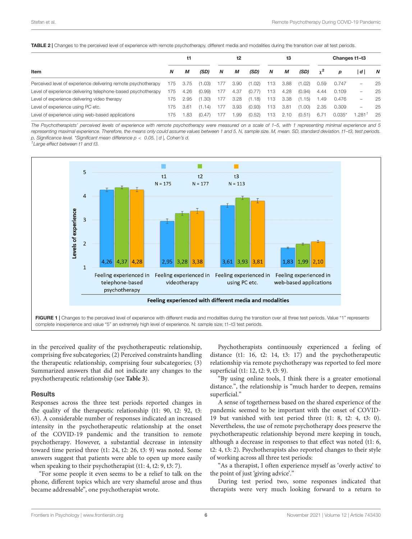<span id="page-5-0"></span>TABLE 2 | Changes to the perceived level of experience with remote psychotherapy, different media and modalities during the transition over all test periods.

|                                                               |     | t1   |        | t2<br>t3 |      |        |     | Changes t1-t3 |        |            |          |                          |    |
|---------------------------------------------------------------|-----|------|--------|----------|------|--------|-----|---------------|--------|------------|----------|--------------------------|----|
| Item                                                          | N   | М    | (SD)   | N        | М    | (SD)   | N   | М             | (SD)   | $\gamma^2$ | D        | ۱d۱                      | N  |
| Perceived level of experience delivering remote psychotherapy | 175 | 3.75 | (1.03) | 177      | 3.90 | (1.02) | 113 | 3.88          | (1.02) | 0.59       | 0.747    | -                        | 25 |
| Level of experience delivering telephone-based psychotherapy  | 175 | 4.26 | (0.99) | 177      | 4.37 | (0.77) | 113 | 4.28          | (0.94) | 4.44       | 0.109    | $\overline{\phantom{0}}$ | 25 |
| Level of experience delivering video therapy                  | 175 | 2.95 | (1.30) | 177      | 3.28 | (1.18) | 113 | 3.38          | (1.15) | 1.49       | 0.476    | -                        | 25 |
| Level of experience using PC etc.                             | 175 | 3.61 | (1.14) | 177      | 3.93 | (0.93) | 113 | 3.81          | (1.00) | 2.35       | 0.309    | $\overline{\phantom{0}}$ | 25 |
| Level of experience using web-based applications              | 175 | .83  | (0.47) | 177      | .99  | (0.52) | 113 | 2.10          | (0.51) | 6.71       | $0.035*$ | .281'                    | 25 |
|                                                               |     |      |        |          |      |        |     |               |        |            |          |                          |    |

The Psychotherapists' perceived levels of experience with remote psychotherapy were measured on a scale of 1–5, with 1 representing minimal experience and 5 representing maximal experience. Therefore, the means only could assume values between 1 and 5. N, sample size. M, mean. SD, standard deviation. t1-t3, test periods. p, Significance level. \*Significant mean difference  $p < 0.05$ . | d |, Cohen's d.

 $1$  Large effect between  $t1$  and  $t3$ .



<span id="page-5-1"></span>in the perceived quality of the psychotherapeutic relationship, comprising five subcategories; (2) Perceived constraints handling the therapeutic relationship, comprising four subcategories; (3) Summarized answers that did not indicate any changes to the psychotherapeutic relationship (see **[Table 3](#page-6-0)**).

#### **Results**

Responses across the three test periods reported changes in the quality of the therapeutic relationship (t1: 90, t2: 92, t3: 63). A considerable number of responses indicated an increased intensity in the psychotherapeutic relationship at the onset of the COVID-19 pandemic and the transition to remote psychotherapy. However, a substantial decrease in intensity toward time period three (t1: 24, t2: 26, t3: 9) was noted. Some answers suggest that patients were able to open up more easily when speaking to their psychotherapist (t1: 4, t2: 9, t3: 7).

"For some people it even seems to be a relief to talk on the phone, different topics which are very shameful arose and thus became addressable", one psychotherapist wrote.

Psychotherapists continuously experienced a feeling of distance (t1: 16, t2: 14, t3: 17) and the psychotherapeutic relationship via remote psychotherapy was reported to feel more superficial (t1: 12, t2: 9, t3: 9).

"By using online tools, I think there is a greater emotional distance.", the relationship is "much harder to deepen, remains superficial."

A sense of togetherness based on the shared experience of the pandemic seemed to be important with the onset of COVID-19 but vanished with test period three (t1: 8, t2: 4, t3: 0). Nevertheless, the use of remote psychotherapy does preserve the psychotherapeutic relationship beyond mere keeping in touch, although a decrease in responses to that effect was noted (t1: 6, t2: 4, t3: 2). Psychotherapists also reported changes to their style of working across all three test periods:

"As a therapist, I often experience myself as 'overly active' to the point of just 'giving advice'."

During test period two, some responses indicated that therapists were very much looking forward to a return to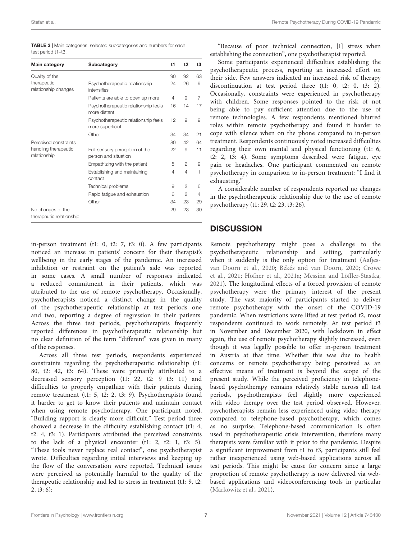<span id="page-6-0"></span>

|                    | <b>TABLE 3</b>   Main categories, selected subcategories and numbers for each |  |
|--------------------|-------------------------------------------------------------------------------|--|
| test period t1-t3. |                                                                               |  |

| <b>Main category</b>                          | Subcategory                                              | t1 | t2             | t3 |
|-----------------------------------------------|----------------------------------------------------------|----|----------------|----|
| Quality of the                                |                                                          | 90 | 92             | 63 |
| therapeutic<br>relationship changes           | Psychotherapeutic relationship<br>intensifies            | 24 | 26             | 9  |
|                                               | Patients are able to open up more                        | 4  | 9              | 7  |
|                                               | Psychotherapeutic relationship feels<br>more distant     | 16 | 14             | 17 |
|                                               | Psychotherapeutic relationship feels<br>more superficial | 12 | 9              | 9  |
|                                               | Other                                                    | 34 | 34             | 21 |
| Perceived constraints                         |                                                          | 80 | 42             | 64 |
| handling therapeutic<br>relationship          | Full-sensory perception of the<br>person and situation   | 22 | 9              | 11 |
|                                               | Empathizing with the patient                             | 5  | $\mathfrak{D}$ | 9  |
|                                               | Establishing and maintaining<br>contact                  | 4  | $\overline{4}$ | 1  |
|                                               | Technical problems                                       | 9  | $\mathfrak{D}$ | 6  |
|                                               | Rapid fatigue and exhaustion                             | 6  | $\overline{c}$ | 4  |
|                                               | Other                                                    | 34 | 23             | 29 |
| No changes of the<br>therapeutic relationship |                                                          | 29 | 23             | 30 |

in-person treatment (t1: 0, t2: 7, t3: 0). A few participants noticed an increase in patients' concern for their therapist's wellbeing in the early stages of the pandemic. An increased inhibition or restraint on the patient's side was reported in some cases. A small number of responses indicated a reduced commitment in their patients, which was attributed to the use of remote psychotherapy. Occasionally, psychotherapists noticed a distinct change in the quality of the psychotherapeutic relationship at test periods one and two, reporting a degree of regression in their patients. Across the three test periods, psychotherapists frequently reported differences in psychotherapeutic relationship but no clear definition of the term "different" was given in many of the responses.

Across all three test periods, respondents experienced constraints regarding the psychotherapeutic relationship (t1: 80, t2: 42, t3: 64). These were primarily attributed to a decreased sensory perception (t1: 22, t2: 9 t3: 11) and difficulties to properly empathize with their patients during remote treatment (t1: 5, t2: 2, t3: 9). Psychotherapists found it harder to get to know their patients and maintain contact when using remote psychotherapy. One participant noted, "Building rapport is clearly more difficult." Test period three showed a decrease in the difficulty establishing contact (t1: 4, t2: 4, t3: 1). Participants attributed the perceived constraints to the lack of a physical encounter (t1: 2, t2: 1, t3: 5). "These tools never replace real contact", one psychotherapist wrote. Difficulties regarding initial interviews and keeping up the flow of the conversation were reported. Technical issues were perceived as potentially harmful to the quality of the therapeutic relationship and led to stress in treatment (t1: 9, t2: 2, t3: 6):

"Because of poor technical connection, [I] stress when establishing the connection", one psychotherapist reported.

Some participants experienced difficulties establishing the psychotherapeutic process, reporting an increased effort on their side. Few answers indicated an increased risk of therapy discontinuation at test period three (t1: 0, t2: 0, t3: 2). Occasionally, constraints were experienced in psychotherapy with children. Some responses pointed to the risk of not being able to pay sufficient attention due to the use of remote technologies. A few respondents mentioned blurred roles within remote psychotherapy and found it harder to cope with silence when on the phone compared to in-person treatment. Respondents continuously noted increased difficulties regarding their own mental and physical functioning (t1: 6, t2: 2, t3: 4). Some symptoms described were fatigue, eye pain or headaches. One participant commented on remote psychotherapy in comparison to in-person treatment: "I find it exhausting."

A considerable number of respondents reported no changes in the psychotherapeutic relationship due to the use of remote psychotherapy (t1: 29, t2: 23, t3: 26).

### **DISCUSSION**

Remote psychotherapy might pose a challenge to the psychotherapeutic relationship and setting, particularly when it suddenly is the only option for treatment [\(Aafjes](#page-8-15)[van Doorn et al.,](#page-8-15) [2020;](#page-8-15) [Békés and van Doorn,](#page-8-13) [2020;](#page-8-13) [Crowe](#page-8-20) [et al.,](#page-8-20) [2021;](#page-8-20) [Höfner et al.,](#page-8-1) [2021a;](#page-8-1) [Messina and Löffler-Stastka,](#page-9-16) [2021\)](#page-9-16). The longitudinal effects of a forced provision of remote psychotherapy were the primary interest of the present study. The vast majority of participants started to deliver remote psychotherapy with the onset of the COVID-19 pandemic. When restrictions were lifted at test period t2, most respondents continued to work remotely. At test period t3 in November and December 2020, with lockdown in effect again, the use of remote psychotherapy slightly increased, even though it was legally possible to offer in-person treatment in Austria at that time. Whether this was due to health concerns or remote psychotherapy being perceived as an effective means of treatment is beyond the scope of the present study. While the perceived proficiency in telephonebased psychotherapy remains relatively stable across all test periods, psychotherapists feel slightly more experienced with video therapy over the test period observed. However, psychotherapists remain less experienced using video therapy compared to telephone-based psychotherapy, which comes as no surprise. Telephone-based communication is often used in psychotherapeutic crisis intervention, therefore many therapists were familiar with it prior to the pandemic. Despite a significant improvement from t1 to t3, participants still feel rather inexperienced using web-based applications across all test periods. This might be cause for concern since a large proportion of remote psychotherapy is now delivered via webbased applications and videoconferencing tools in particular [\(Markowitz et al.,](#page-8-4) [2021\)](#page-8-4).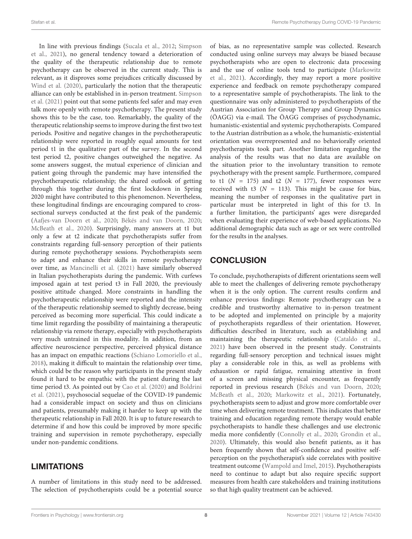In line with previous findings [\(Sucala et al.,](#page-9-9) [2012;](#page-9-9) [Simpson](#page-9-12) [et al.,](#page-9-12) [2021\)](#page-9-12), no general tendency toward a deterioration of the quality of the therapeutic relationship due to remote psychotherapy can be observed in the current study. This is relevant, as it disproves some prejudices critically discussed by [Wind et al.](#page-9-1) [\(2020\)](#page-9-1), particularly the notion that the therapeutic alliance can only be established in in-person treatment. [Simpson](#page-9-12) [et al.](#page-9-12) [\(2021\)](#page-9-12) point out that some patients feel safer and may even talk more openly with remote psychotherapy. The present study shows this to be the case, too. Remarkably, the quality of the therapeutic relationship seems to improve during the first two test periods. Positive and negative changes in the psychotherapeutic relationship were reported in roughly equal amounts for test period t1 in the qualitative part of the survey. In the second test period t2, positive changes outweighed the negative. As some answers suggest, the mutual experience of clinician and patient going through the pandemic may have intensified the psychotherapeutic relationship; the shared outlook of getting through this together during the first lockdown in Spring 2020 might have contributed to this phenomenon. Nevertheless, these longitudinal findings are encouraging compared to crosssectional surveys conducted at the first peak of the pandemic [\(Aafjes-van Doorn et al.,](#page-8-15) [2020;](#page-8-15) [Békés and van Doorn,](#page-8-13) [2020;](#page-8-13) [McBeath et al.,](#page-9-15) [2020\)](#page-9-15). Surprisingly, many answers at t1 but only a few at t2 indicate that psychotherapists suffer from constraints regarding full-sensory perception of their patients during remote psychotherapy sessions. Psychotherapists seem to adapt and enhance their skills in remote psychotherapy over time, as [Mancinelli et al.](#page-8-16) [\(2021\)](#page-8-16) have similarly observed in Italian psychotherapists during the pandemic. With curfews imposed again at test period t3 in Fall 2020, the previously positive attitude changed. More constraints in handling the psychotherapeutic relationship were reported and the intensity of the therapeutic relationship seemed to slightly decrease, being perceived as becoming more superficial. This could indicate a time limit regarding the possibility of maintaining a therapeutic relationship via remote therapy, especially with psychotherapists very much untrained in this modality. In addition, from an affective neuroscience perspective, perceived physical distance has an impact on empathic reactions [\(Schiano Lomoriello et al.,](#page-9-20) [2018\)](#page-9-20), making it difficult to maintain the relationship over time, which could be the reason why participants in the present study found it hard to be empathic with the patient during the last time period t3. As pointed out by [Cao et al.](#page-8-21) [\(2020\)](#page-8-21) and [Boldrini](#page-8-22) [et al.](#page-8-22) [\(2021\)](#page-8-22), psychosocial sequelae of the COVID-19 pandemic had a considerable impact on society and thus on clinicians and patients, presumably making it harder to keep up with the therapeutic relationship in Fall 2020. It is up to future research to determine if and how this could be improved by more specific training and supervision in remote psychotherapy, especially under non-pandemic conditions.

### LIMITATIONS

A number of limitations in this study need to be addressed. The selection of psychotherapists could be a potential source of bias, as no representative sample was collected. Research conducted using online surveys may always be biased because psychotherapists who are open to electronic data processing and the use of online tools tend to participate [\(Markowitz](#page-8-4) [et al.,](#page-8-4) [2021\)](#page-8-4). Accordingly, they may report a more positive experience and feedback on remote psychotherapy compared to a representative sample of psychotherapists. The link to the questionnaire was only administered to psychotherapists of the Austrian Association for Group Therapy and Group Dynamics (ÖAGG) via e-mail. The ÖAGG comprises of psychodynamic, humanistic-existential and systemic psychotherapists. Compared to the Austrian distribution as a whole, the humanistic-existential orientation was overrepresented and no behaviorally oriented psychotherapists took part. Another limitation regarding the analysis of the results was that no data are available on the situation prior to the involuntary transition to remote psychotherapy with the present sample. Furthermore, compared to t1 ( $N = 175$ ) and t2 ( $N = 177$ ), fewer responses were received with t3 ( $N = 113$ ). This might be cause for bias, meaning the number of responses in the qualitative part in particular must be interpreted in light of this for t3. In a further limitation, the participants' ages were disregarded when evaluating their experience of web-based applications. No additional demographic data such as age or sex were controlled for the results in the analyses.

# **CONCLUSION**

To conclude, psychotherapists of different orientations seem well able to meet the challenges of delivering remote psychotherapy when it is the only option. The current results confirm and enhance previous findings: Remote psychotherapy can be a credible and trustworthy alternative to in-person treatment to be adopted and implemented on principle by a majority of psychotherapists regardless of their orientation. However, difficulties described in literature, such as establishing and maintaining the therapeutic relationship [\(Cataldo et al.,](#page-8-23) [2021\)](#page-8-23) have been observed in the present study. Constraints regarding full-sensory perception and technical issues might play a considerable role in this, as well as problems with exhaustion or rapid fatigue, remaining attentive in front of a screen and missing physical encounter, as frequently reported in previous research [\(Békés and van Doorn,](#page-8-13) [2020;](#page-8-13) [McBeath et al.,](#page-9-15) [2020;](#page-9-15) [Markowitz et al.,](#page-8-4) [2021\)](#page-8-4). Fortunately, psychotherapists seem to adjust and grow more comfortable over time when delivering remote treatment. This indicates that better training and education regarding remote therapy would enable psychotherapists to handle these challenges and use electronic media more confidently [\(Connolly et al.,](#page-8-0) [2020;](#page-8-0) [Grondin et al.,](#page-8-24) [2020\)](#page-8-24). Ultimately, this would also benefit patients, as it has been frequently shown that self-confidence and positive selfperception on the psychotherapist's side correlates with positive treatment outcome [\(Wampold and Imel,](#page-9-13) [2015\)](#page-9-13). Psychotherapists need to continue to adapt but also require specific support measures from health care stakeholders and training institutions so that high quality treatment can be achieved.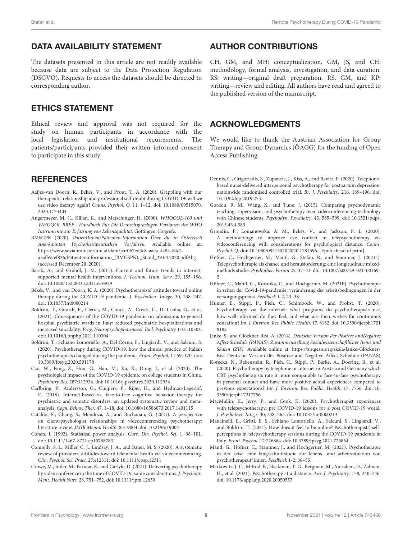#### DATA AVAILABILITY STATEMENT

The datasets presented in this article are not readily available because data are subject to the Data Protection Regulation (DSGVO). Requests to access the datasets should be directed to corresponding author.

#### ETHICS STATEMENT

Ethical review and approval was not required for the study on human participants in accordance with the local legislation and institutional requirements. The patients/participants provided their written informed consent to participate in this study.

#### **REFERENCES**

- <span id="page-8-15"></span>Aafjes-van Doorn, K., Békés, V., and Prout, T. A. (2020). Grappling with our therapeutic relationship and professional self-doubt during COVID-19: will we use video therapy again? Couns. Psychol. Q. 11, 1–12. [doi: 10.1080/09515070.](https://doi.org/10.1080/09515070.2020.1773404) [2020.1773404](https://doi.org/10.1080/09515070.2020.1773404)
- <span id="page-8-17"></span>Angermeyer, M. C., Kilian, R., and Matschinger, H. (2000). WHOQOL-100 und WHOQOL-BREF - Handbuch Für Die Deutschsprachigen Versionen der WHO Instrumente zur Erfassung von Lebensqualität. Göttingen: Hogrefe.
- <span id="page-8-5"></span>BMSGPK (2020). PatientInnen/Patienten-Information Über die in Österreich Anerkannten Psychotherapeutischen Verfahren. Available online at: [https://www.sozialministerium.at/dam/jcr:067ed3c8-aaea-4c84-84c2](https://www.sozialministerium.at/dam/jcr:067ed3c8-aaea-4c84-84c2-a3afb9cef836/Patienteninformation_(BMGSPK),_Stand_29.04.2020.pdf Abg) [a3afb9cef836/Patienteninformation\\_\(BMGSPK\),\\_Stand\\_29.04.2020.pdfAbg](https://www.sozialministerium.at/dam/jcr:067ed3c8-aaea-4c84-84c2-a3afb9cef836/Patienteninformation_(BMGSPK),_Stand_29.04.2020.pdf Abg) (accessed December 20, 2020).
- <span id="page-8-2"></span>Barak, A., and Grohol, J. M. (2011). Current and future trends in internetsupported mental health interventions. J. Technol. Hum. Serv. 29, 155–196. [doi: 10.1080/15228835.2011.616939](https://doi.org/10.1080/15228835.2011.616939)
- <span id="page-8-13"></span>Békés, V., and van Doorn, K. A. (2020). Psychotherapists' attitudes toward online therapy during the COVID-19 pandemic. J. Psychother. Integr. 30, 238–247. [doi: 10.1037/int0000214](https://doi.org/10.1037/int0000214)
- <span id="page-8-22"></span>Boldrini, T., Girardi, P., Clerici, M., Conca, A., Creati, C., Di Cicilia, G., et al. (2021). Consequences of the COVID-19 pandemic on admissions to general hospital psychiatric wards in Italy: reduced psychiatric hospitalizations and increased suicidality. Prog. Neuropsychopharmacol. Biol. Psychiatry 110:110304. [doi: 10.1016/j.pnpbp.2021.110304](https://doi.org/10.1016/j.pnpbp.2021.110304)
- <span id="page-8-12"></span>Boldrini, T., Schiano Lomoriello, A., Del Corno, F., Lingiardi, V., and Salcuni, S. (2020). Psychotherapy during COVID-19: how the clinical practice of Italian psychotherapists changed during the pandemic. Front. Psychol. 11:591170. [doi:](https://doi.org/10.3389/fpsyg.2020.591170) [10.3389/fpsyg.2020.591170](https://doi.org/10.3389/fpsyg.2020.591170)
- <span id="page-8-21"></span>Cao, W., Fang, Z., Hou, G., Han, M., Xu, X., Dong, J., et al. (2020). The psychological impact of the COVID-19 epidemic on college students in China. Psychiatry Res. 287:112934. [doi: 10.1016/j.psychres.2020.112934](https://doi.org/10.1016/j.psychres.2020.112934)
- <span id="page-8-3"></span>Carlbring, P., Andersson, G., Cuijpers, P., Riper, H., and Hedman-Lagerlöf, E. (2018). Internet-based vs. face-to-face cognitive behavior therapy for psychiatric and somatic disorders: an updated systematic review and metaanalysis. Cogn. Behav. Ther. 47, 1–18. [doi: 10.1080/16506073.2017.1401115](https://doi.org/10.1080/16506073.2017.1401115)
- <span id="page-8-23"></span>Cataldo, F., Chang, S., Mendoza, A., and Buchanan, G. (2021). A perspective on client-psychologist relationships in videoconferencing psychotherapy: literature review. JMIR Mental Health. 8:e19004. [doi: 10.2196/19004](https://doi.org/10.2196/19004)
- <span id="page-8-19"></span>Cohen, J. (1992). Statistical power analysis. Curr. Dir. Psychol. Sci. 1, 98–101. [doi: 10.1111/1467-8721.ep10768783](https://doi.org/10.1111/1467-8721.ep10768783)
- <span id="page-8-0"></span>Connolly, S. L., Miller, C. J., Lindsay, J. A., and Bauer, M. S. (2020). A systematic review of providers' attitudes toward telemental health via videoconferencing. Clin. Psychol. Sci. Pract. 27:e12311. [doi: 10.1111/cpsp.12311](https://doi.org/10.1111/cpsp.12311)
- <span id="page-8-20"></span>Crowe, M., Inder, M., Farmar, R., and Carlyle, D. (2021). Delivering psychotherapy by video conference in the time of COVID-19: some considerations. J. Psychiatr. Ment. Health Nurs. 28, 751–752. [doi: 10.1111/jpm.12659](https://doi.org/10.1111/jpm.12659)

#### AUTHOR CONTRIBUTIONS

CH, GM, and MH: conceptualization. GM, JS, and CH: methodology, formal analysis, investigation, and data curation. RS: writing—original draft preparation. RS, GM, and KP: writing—review and editing. All authors have read and agreed to the published version of the manuscript.

#### ACKNOWLEDGMENTS

We would like to thank the Austrian Association for Group Therapy and Group Dynamics (ÖAGG) for the funding of Open Access Publishing.

- <span id="page-8-11"></span>Dennis, C., Grigoriadis, S., Zupancic, J., Kiss, A., and Ravitz, P. (2020). Telephonebased nurse-delivered interpersonal psychotherapy for postpartum depression: nationwide randomised controlled trial. Br. J. Psychiatry. 216, 189–196. [doi:](https://doi.org/10.1192/bjp.2019.275) [10.1192/bjp.2019.275](https://doi.org/10.1192/bjp.2019.275)
- <span id="page-8-10"></span>Gordon, R. M., Wang, X., and Tune, J. (2015). Comparing psychodynamic teaching, supervision, and psychotherapy over videoconferencing technology with Chinese students. Psychodyn. Psychiatry. 43, 585–599. [doi: 10.1521/pdps.](https://doi.org/10.1521/pdps.2015.43.4.585) [2015.43.4.585](https://doi.org/10.1521/pdps.2015.43.4.585)
- <span id="page-8-24"></span>Grondin, F., Lomanowska, A. M., Békés, V., and Jackson, P. L. (2020). A methodology to improve eye contact in telepsychotherapy via videoconferencing with considerations for psychological distance. Couns. Psychol. Q. [doi: 10.1080/09515070.2020.1781596.](https://doi.org/10.1080/09515070.2020.1781596) [Epub ahead of print].
- <span id="page-8-1"></span>Höfner, C., Hochgerner, M., Mantl, G., Stefan, R., and Stammer, J. (2021a). Telepsychotherapie als chance und herausforderung: eine longitudinale mixedmethods studie. Psychother. Forum 25, 37–43. [doi: 10.1007/s00729-021-00169-](https://doi.org/10.1007/s00729-021-00169-2) [2](https://doi.org/10.1007/s00729-021-00169-2)
- <span id="page-8-8"></span>Höfner, C., Mantl, G., Korunka, C., and Hochgerner, M. (2021b). Psychotherapie in zeiten der Covid-19-pandemie: veränderung der arbeitsbedingungen in der versorgungspraxis. Feedback 1-2, 23–38.
- <span id="page-8-6"></span>Humer, E., Stippl, P., Pieh, C., Schimböck, W., and Probst, T. (2020). Psychotherapy via the internet: what programs do psychotherapists use, how well-informed do they feel, and what are their wishes for continuous education? Int. J. Environ. Res. Public. Health. 17, 8182. [doi: 10.3390/ijerph1721](https://doi.org/10.3390/ijerph17218182) [8182](https://doi.org/10.3390/ijerph17218182)
- <span id="page-8-18"></span>Janke, S., and Glöckner-Rist, A. (2014). Deutsche Version der Positive andNegative Affect Schedule (PANAS). Zusammenstellung Sozialwissenschaftlicher Items und Skalen (ZIS). Available online at: [https://zis.gesis.org/skala/Janke-Glöckner-](https://zis.gesis.org/skala/Janke-Gl�ckner-Rist-Deutsche-Version-der-Positive-and-Negative-Affect-Schedule-(PANAS))[Rist-Deutsche-Version-der-Positive-and-Negative-Affect-Schedule-\(PANAS\)](https://zis.gesis.org/skala/Janke-Gl�ckner-Rist-Deutsche-Version-der-Positive-and-Negative-Affect-Schedule-(PANAS))
- <span id="page-8-7"></span>Korecka, N., Rabenstein, R., Pieh, C., Stippl, P., Barke, A., Doering, B., et al. (2020). Psychotherapy by telephone or internet in Austria and Germany which CBT psychotherapists rate it more comparable to face-to-face psychotherapy in personal contact and have more positive actual experiences compared to previous expectations? Int. J. Environ. Res. Public. Health. 17, 7756. [doi: 10.](https://doi.org/10.3390/ijerph17217756) [3390/ijerph17217756](https://doi.org/10.3390/ijerph17217756)
- <span id="page-8-14"></span>MacMullin, K., Jerry, P., and Cook, K. (2020). Psychotherapist experiences with telepsychotherapy: pre COVID-19 lessons for a post COVID-19 world. J. Psychother. Integr. 30, 248–264. [doi: 10.1037/int0000213](https://doi.org/10.1037/int0000213)
- <span id="page-8-16"></span>Mancinelli, E., Gritti, E. S., Schiano Lomoriello, A., Salcuni, S., Lingiardi, V., and Boldrini, T. (2021). How does it feel to be online? Psychotherapists' selfperceptions in telepsychotherapy sessions during the COVID-19 pandemic in Italy. Front. Psychol. 12:726864. [doi: 10.3389/fpsyg.2021.726864](https://doi.org/10.3389/fpsyg.2021.726864)
- <span id="page-8-9"></span>Mantl, G., Höfner, C., Stammer, J., and Hochgerner, M. (2021). Psychotherapie in der krise. eine längsschnittstudie zur lebens- und arbeitssituation von psychotherapeut<sup>∗</sup> innen. Feedback 1-2, 38–55.
- <span id="page-8-4"></span>Markowitz, J. C., Milrod, B., Heckman, T. G., Bergman, M., Amsalem, D., Zalman, H., et al. (2021). Psychotherapy at a distance. Am. J. Psychiatry. 178, 240–246. [doi: 10.1176/appi.ajp.2020.20050557](https://doi.org/10.1176/appi.ajp.2020.20050557)